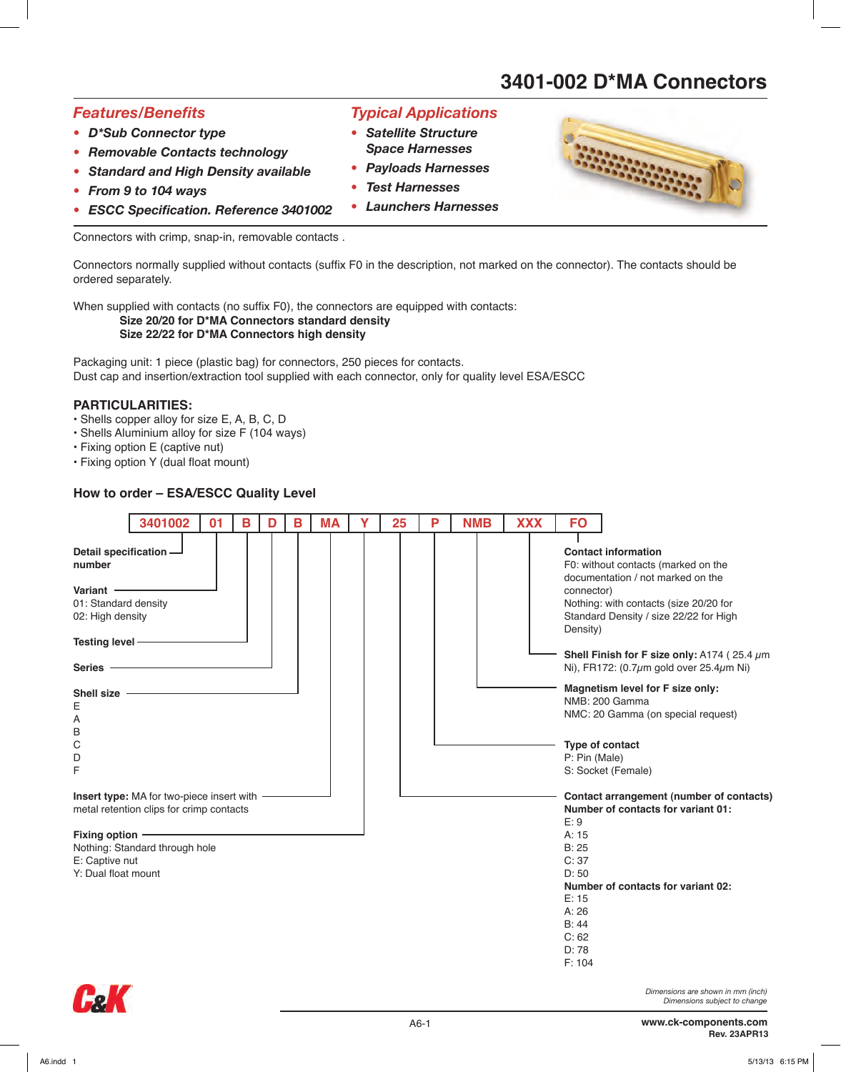# *Features/Benefits*

- *• D\*Sub Connector type*
- *• Removable Contacts technology*
- **Standard and High Density available**
- *• From 9 to 104 ways*
- *• ESCC Specification. Reference 3401002*
- *• Payloads Harnesses • Test Harnesses*
- *• Launchers Harnesses*

*Typical Applications • Satellite Structure Space Harnesses*



Connectors with crimp, snap-in, removable contacts .

Connectors normally supplied without contacts (suffix F0 in the description, not marked on the connector). The contacts should be ordered separately.

When supplied with contacts (no suffix F0), the connectors are equipped with contacts:

#### **Size 20/20 for D\*MA Connectors standard density**

#### **Size 22/22 for D\*MA Connectors high density**

Packaging unit: 1 piece (plastic bag) for connectors, 250 pieces for contacts. Dust cap and insertion/extraction tool supplied with each connector, only for quality level ESA/ESCC

#### **PARTICULARITIES:**

- Shells copper alloy for size E, A, B, C, D
- Shells Aluminium alloy for size F (104 ways)
- Fixing option E (captive nut)
- Fixing option Y (dual float mount)

### **How to order – ESA/ESCC Quality Level**

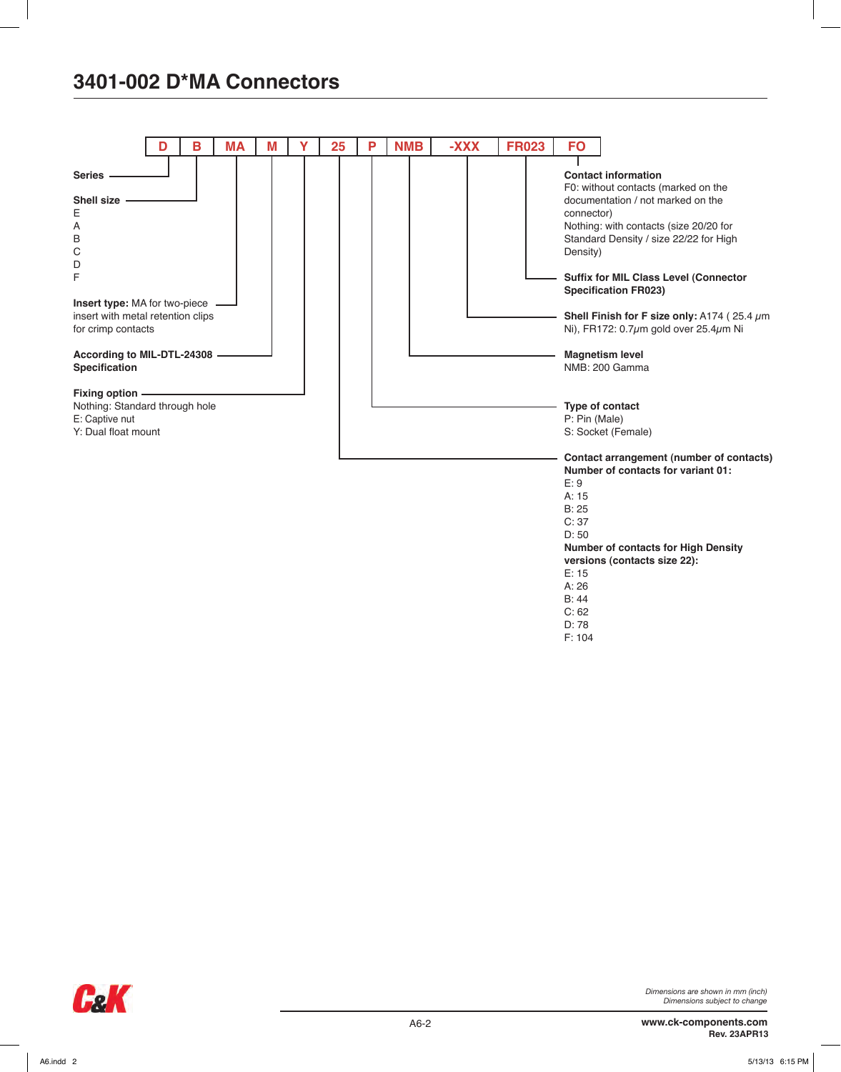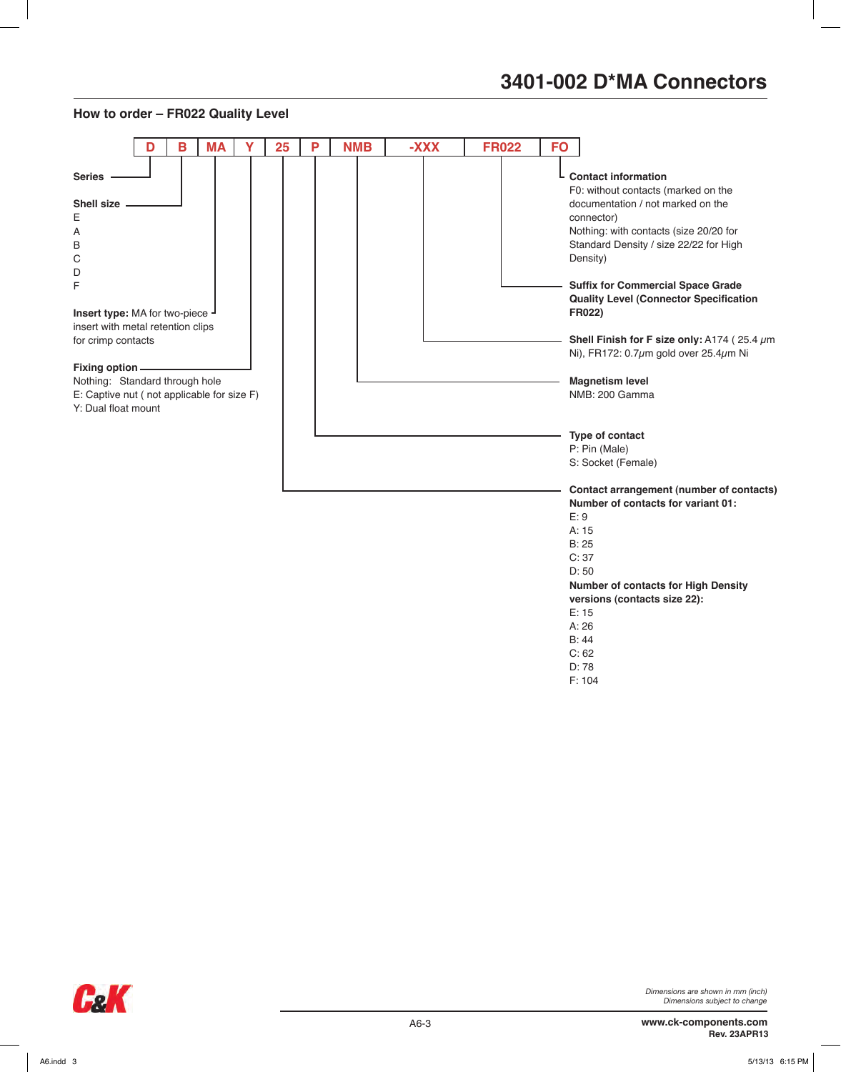# **3401-002 D\*MA Connectors**

### **How to order – FR022 Quality Level**



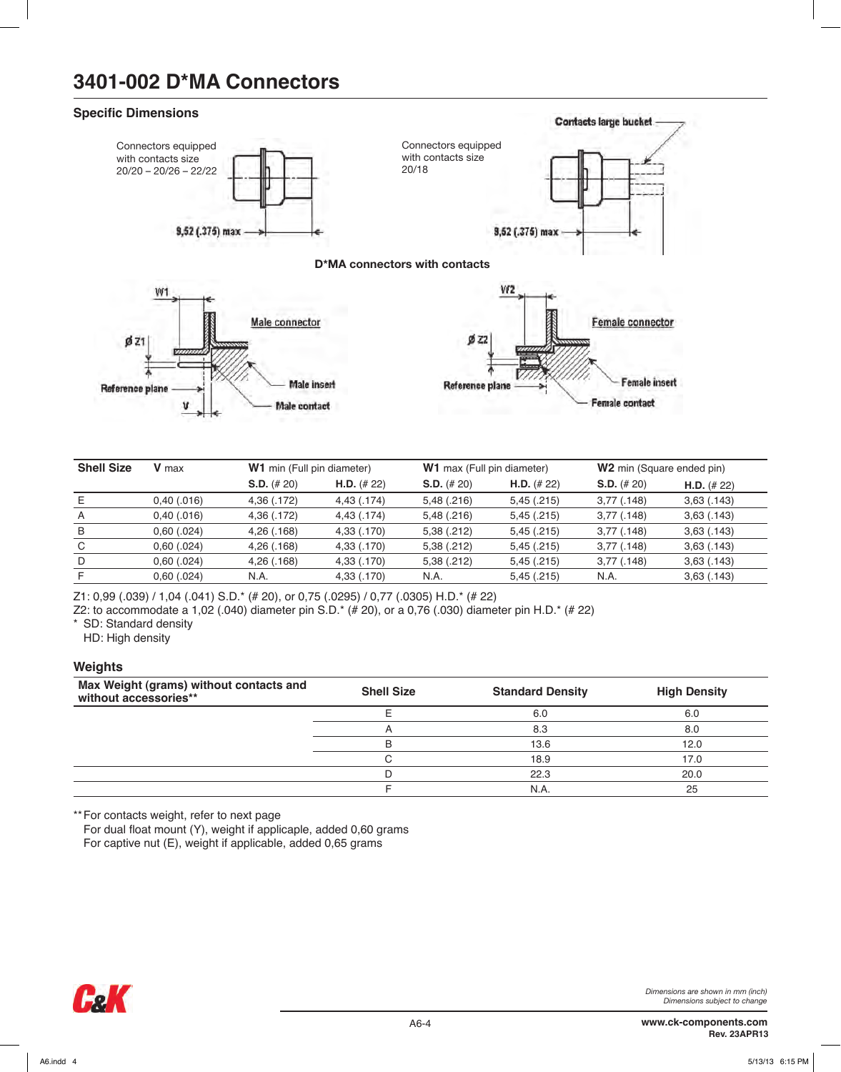# **3401-002 D\*MA Connectors**

# **Specific Dimensions**



| <b>Shell Size</b> | <b>V</b> max    | <b>W1</b> min (Full pin diameter) |                       | <b>W1</b> max (Full pin diameter) |               | <b>W2</b> min (Square ended pin) |                       |
|-------------------|-----------------|-----------------------------------|-----------------------|-----------------------------------|---------------|----------------------------------|-----------------------|
|                   |                 | $S.D.$ (# 20)                     | <b>H.D.</b> $(\# 22)$ | $S.D.$ (# 20)                     | $H.D.$ (# 22) | $S.D.$ (# 20)                    | <b>H.D.</b> $(\# 22)$ |
| Е                 | $0,40$ $(.016)$ | 4,36 (.172)                       | 4,43 (.174)           | 5,48(.216)                        | 5,45(.215)    | $3,77$ $(.148)$                  | 3,63(.143)            |
| A                 | 0,40(.016)      | 4,36 (.172)                       | 4,43 (.174)           | 5,48(.216)                        | 5,45(.215)    | $3,77$ (.148)                    | 3,63(.143)            |
| B                 | 0,60(.024)      | 4,26(.168)                        | 4,33 (.170)           | 5,38(.212)                        | 5,45(.215)    | $3,77$ $(.148)$                  | 3,63(.143)            |
| C.                | 0,60(.024)      | 4,26(.168)                        | 4,33 (.170)           | 5,38(.212)                        | 5,45(.215)    | $3,77$ $(.148)$                  | 3,63(.143)            |
| D                 | 0,60(.024)      | 4,26 (.168)                       | 4,33 (.170)           | 5,38(.212)                        | 5,45(.215)    | $3,77$ $(.148)$                  | 3,63(.143)            |
|                   | 0,60(.024)      | N.A.                              | 4,33 (.170)           | N.A.                              | 5,45(.215)    | N.A.                             | 3,63(.143)            |

Z1: 0,99 (.039) / 1,04 (.041) S.D.\* (# 20), or 0,75 (.0295) / 0,77 (.0305) H.D.\* (# 22)

Z2: to accommodate a 1,02 (.040) diameter pin S.D.\* (# 20), or a 0,76 (.030) diameter pin H.D.\* (# 22)  $*$  SD: Standard density

SD: Standard density

HD: High density

#### **Weights**

| Max Weight (grams) without contacts and<br>without accessories** | <b>Shell Size</b> | <b>Standard Density</b> | <b>High Density</b> |
|------------------------------------------------------------------|-------------------|-------------------------|---------------------|
|                                                                  |                   | 6.0                     | 6.0                 |
|                                                                  |                   | 8.3                     | 8.0                 |
|                                                                  |                   | 13.6                    | 12.0                |
|                                                                  |                   | 18.9                    | 17.0                |
|                                                                  |                   | 22.3                    | 20.0                |
|                                                                  |                   | N.A.                    | 25                  |

\*\*For contacts weight, refer to next page

For dual float mount (Y), weight if applicaple, added 0,60 grams For captive nut (E), weight if applicable, added 0,65 grams

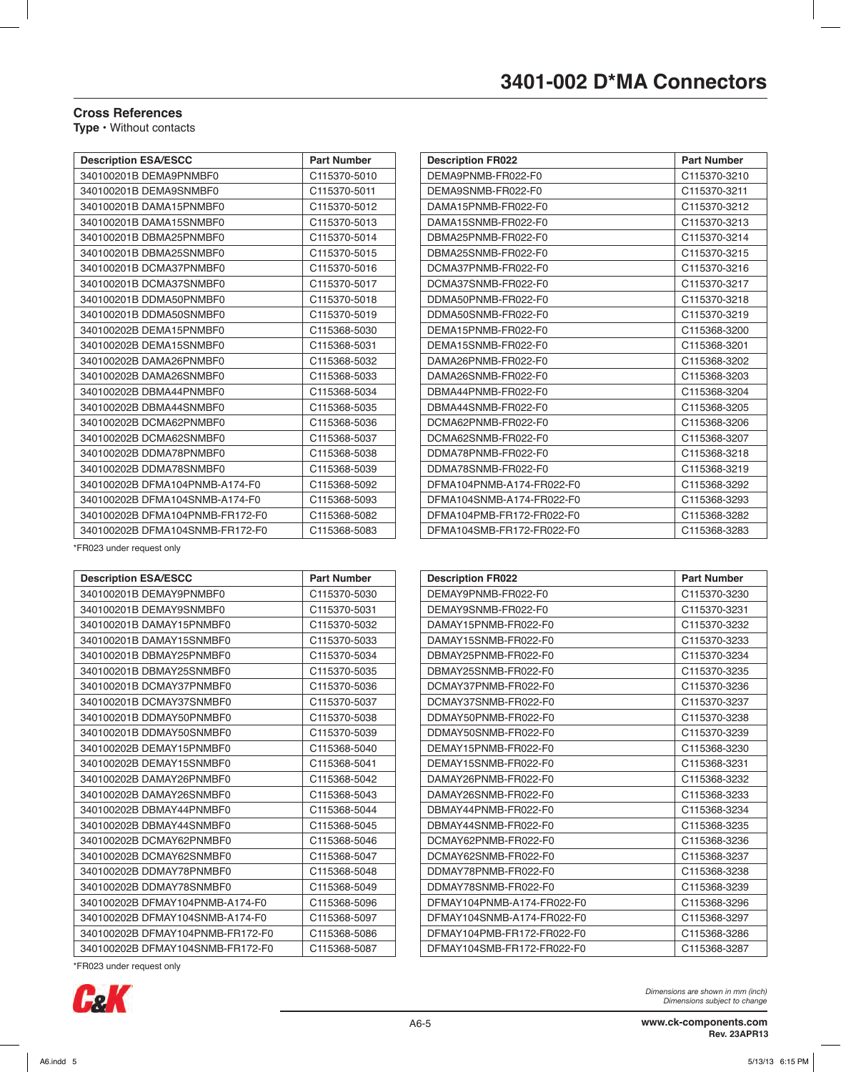#### **Cross References**

**Type •** Without contacts

| <b>Description ESA/ESCC</b>     | <b>Part Number</b> | <b>Description FR022</b>  | <b>Part Number</b> |
|---------------------------------|--------------------|---------------------------|--------------------|
| 340100201B DEMA9PNMBF0          | C115370-5010       | DEMA9PNMB-FR022-F0        | C115370-3210       |
| 340100201B DEMA9SNMBF0          | C115370-5011       | DEMA9SNMB-FR022-F0        | C115370-3211       |
| 340100201B DAMA15PNMBF0         | C115370-5012       | DAMA15PNMB-FR022-F0       | C115370-3212       |
| 340100201B DAMA15SNMBF0         | C115370-5013       | DAMA15SNMB-FR022-F0       | C115370-3213       |
| 340100201B DBMA25PNMBF0         | C115370-5014       | DBMA25PNMB-FR022-F0       | C115370-3214       |
| 340100201B DBMA25SNMBF0         | C115370-5015       | DBMA25SNMB-FR022-F0       | C115370-3215       |
| 340100201B DCMA37PNMBF0         | C115370-5016       | DCMA37PNMB-FR022-F0       | C115370-3216       |
| 340100201B DCMA37SNMBF0         | C115370-5017       | DCMA37SNMB-FR022-F0       | C115370-3217       |
| 340100201B DDMA50PNMBF0         | C115370-5018       | DDMA50PNMB-FR022-F0       | C115370-3218       |
| 340100201B DDMA50SNMBF0         | C115370-5019       | DDMA50SNMB-FR022-F0       | C115370-3219       |
| 340100202B DEMA15PNMBF0         | C115368-5030       | DEMA15PNMB-FR022-F0       | C115368-3200       |
| 340100202B DEMA15SNMBF0         | C115368-5031       | DEMA15SNMB-FR022-F0       | C115368-3201       |
| 340100202B DAMA26PNMBF0         | C115368-5032       | DAMA26PNMB-FR022-F0       | C115368-3202       |
| 340100202B DAMA26SNMBF0         | C115368-5033       | DAMA26SNMB-FR022-F0       | C115368-3203       |
| 340100202B DBMA44PNMBF0         | C115368-5034       | DBMA44PNMB-FR022-F0       | C115368-3204       |
| 340100202B DBMA44SNMBF0         | C115368-5035       | DBMA44SNMB-FR022-F0       | C115368-3205       |
| 340100202B DCMA62PNMBF0         | C115368-5036       | DCMA62PNMB-FR022-F0       | C115368-3206       |
| 340100202B DCMA62SNMBF0         | C115368-5037       | DCMA62SNMB-FR022-F0       | C115368-3207       |
| 340100202B DDMA78PNMBF0         | C115368-5038       | DDMA78PNMB-FR022-F0       | C115368-3218       |
| 340100202B DDMA78SNMBF0         | C115368-5039       | DDMA78SNMB-FR022-F0       | C115368-3219       |
| 340100202B DFMA104PNMB-A174-F0  | C115368-5092       | DFMA104PNMB-A174-FR022-F0 | C115368-3292       |
| 340100202B DFMA104SNMB-A174-F0  | C115368-5093       | DFMA104SNMB-A174-FR022-F0 | C115368-3293       |
| 340100202B DFMA104PNMB-FR172-F0 | C115368-5082       | DFMA104PMB-FR172-FR022-F0 | C115368-3282       |
| 340100202B DFMA104SNMB-FR172-F0 | C115368-5083       | DFMA104SMB-FR172-FR022-F0 | C115368-3283       |

| <b>Description ESA/ESCC</b>     | <b>Part Number</b> | <b>Description FR022</b>  | <b>Part Number</b> |
|---------------------------------|--------------------|---------------------------|--------------------|
| 340100201B DEMA9PNMBF0          | C115370-5010       | DEMA9PNMB-FR022-F0        | C115370-3210       |
| 340100201B DEMA9SNMBF0          | C115370-5011       | DEMA9SNMB-FR022-F0        | C115370-3211       |
| 340100201B DAMA15PNMBF0         | C115370-5012       | DAMA15PNMB-FR022-F0       | C115370-3212       |
| 340100201B DAMA15SNMBF0         | C115370-5013       | DAMA15SNMB-FR022-F0       | C115370-3213       |
| 340100201B DBMA25PNMBF0         | C115370-5014       | DBMA25PNMB-FR022-F0       | C115370-3214       |
| 340100201B DBMA25SNMBF0         | C115370-5015       | DBMA25SNMB-FR022-F0       | C115370-3215       |
| 340100201B DCMA37PNMBF0         | C115370-5016       | DCMA37PNMB-FR022-F0       | C115370-3216       |
| 340100201B DCMA37SNMBF0         | C115370-5017       | DCMA37SNMB-FR022-F0       | C115370-3217       |
| 340100201B DDMA50PNMBF0         | C115370-5018       | DDMA50PNMB-FR022-F0       | C115370-3218       |
| 340100201B DDMA50SNMBF0         | C115370-5019       | DDMA50SNMB-FR022-F0       | C115370-3219       |
| 340100202B DEMA15PNMBF0         | C115368-5030       | DEMA15PNMB-FR022-F0       | C115368-3200       |
| 340100202B DEMA15SNMBF0         | C115368-5031       | DEMA15SNMB-FR022-F0       | C115368-3201       |
| 340100202B DAMA26PNMBF0         | C115368-5032       | DAMA26PNMB-FR022-F0       | C115368-3202       |
| 340100202B DAMA26SNMBF0         | C115368-5033       | DAMA26SNMB-FR022-F0       | C115368-3203       |
| 340100202B DBMA44PNMBF0         | C115368-5034       | DBMA44PNMB-FR022-F0       | C115368-3204       |
| 340100202B DBMA44SNMBF0         | C115368-5035       | DBMA44SNMB-FR022-F0       | C115368-3205       |
| 340100202B DCMA62PNMBF0         | C115368-5036       | DCMA62PNMB-FR022-F0       | C115368-3206       |
| 340100202B DCMA62SNMBF0         | C115368-5037       | DCMA62SNMB-FR022-F0       | C115368-3207       |
| 340100202B DDMA78PNMBF0         | C115368-5038       | DDMA78PNMB-FR022-F0       | C115368-3218       |
| 340100202B DDMA78SNMBF0         | C115368-5039       | DDMA78SNMB-FR022-F0       | C115368-3219       |
| 340100202B DFMA104PNMB-A174-F0  | C115368-5092       | DFMA104PNMB-A174-FR022-F0 | C115368-3292       |
| 340100202B DFMA104SNMB-A174-F0  | C115368-5093       | DFMA104SNMB-A174-FR022-F0 | C115368-3293       |
| 340100202B DFMA104PNMB-FR172-F0 | C115368-5082       | DFMA104PMB-FR172-FR022-F0 | C115368-3282       |
| 340100202B DFMA104SNMB-FR172-F0 | C115368-5083       | DFMA104SMB-FR172-FR022-F0 | C115368-3283       |

**Description FR022 Part Number** DEMAY9PNMB-FR022-F0 C115370-3230 DEMAY9SNMB-FR022-F0 C115370-3231 DAMAY15PNMB-FR022-F0 C115370-3232 DAMAY15SNMB-FR022-F0 | C115370-3233 340100201B DBMAY25PNMBF0 C115370-5034 DBMAY25PNMB-FR022-F0 C115370-3234 DBMAY25SNMB-FR022-F0 C115370-3235 DCMAY37PNMB-FR022-F0 C115370-3236 DCMAY37SNMB-FR022-F0 C115370-3237 DDMAY50PNMB-FR022-F0 | C115370-3238 DDMAY50SNMB-FR022-F0 C115370-3239 DEMAY15PNMB-FR022-F0 C115368-3230 DEMAY15SNMB-FR022-F0 | C115368-3231 DAMAY26PNMB-FR022-F0 C115368-3232 DAMAY26SNMB-FR022-F0 | C115368-3233 DBMAY44PNMB-FR022-F0 C115368-3234 DBMAY44SNMB-FR022-F0 C115368-3235 DCMAY62PNMB-FR022-F0 C115368-3236 DCMAY62SNMB-FR022-F0 | C115368-3237 DDMAY78PNMB-FR022-F0 C115368-3238 DDMAY78SNMB-FR022-F0 | C115368-3239 340100202B DFMAY104PNMB-A174-F0 C115368-5096 DFMAY104PNMB-A174-FR022-F0 C115368-3296 DFMAY104SNMB-A174-FR022-F0 C115368-3297 340100202B DFMAY104PNMB-FR172-F0 C115368-5086 DFMAY104PMB-FR172-FR022-F0 C115368-3286 340100202B DFMAY104SNMB-FR172-F0 C115368-5087 DFMAY104SMB-FR172-FR022-F0 C115368-3287

\*FR023 under request only

| <b>Description ESA/ESCC</b>      | <b>Part Number</b> |
|----------------------------------|--------------------|
| 340100201B DEMAY9PNMBF0          | C115370-5030       |
| 340100201B DEMAY9SNMBF0          | C115370-5031       |
| 340100201B DAMAY15PNMBF0         | C115370-5032       |
| 340100201B DAMAY15SNMBF0         | C115370-5033       |
| 340100201B DBMAY25PNMBF0         | C115370-5034       |
| 340100201B DBMAY25SNMBF0         | C115370-5035       |
| 340100201B DCMAY37PNMBF0         | C115370-5036       |
| 340100201B DCMAY37SNMBF0         | C115370-5037       |
| 340100201B DDMAY50PNMBF0         | C115370-5038       |
| 340100201B DDMAY50SNMBF0         | C115370-5039       |
| 340100202B DEMAY15PNMBF0         | C115368-5040       |
| 340100202B DEMAY15SNMBF0         | C115368-5041       |
| 340100202B DAMAY26PNMBF0         | C115368-5042       |
| 340100202B DAMAY26SNMBF0         | C115368-5043       |
| 340100202B DBMAY44PNMBF0         | C115368-5044       |
| 340100202B DBMAY44SNMBF0         | C115368-5045       |
| 340100202B DCMAY62PNMBF0         | C115368-5046       |
| 340100202B DCMAY62SNMBF0         | C115368-5047       |
| 340100202B DDMAY78PNMBF0         | C115368-5048       |
| 340100202B DDMAY78SNMBF0         | C115368-5049       |
| 340100202B DFMAY104PNMB-A174-F0  | C115368-5096       |
| 340100202B DFMAY104SNMB-A174-F0  | C115368-5097       |
| 340100202B DFMAY104PNMB-FR172-F0 | C115368-5086       |
| 340100202B DFMAY104SNMB-FR172-F0 | C115368-5087       |

\*FR023 under request only

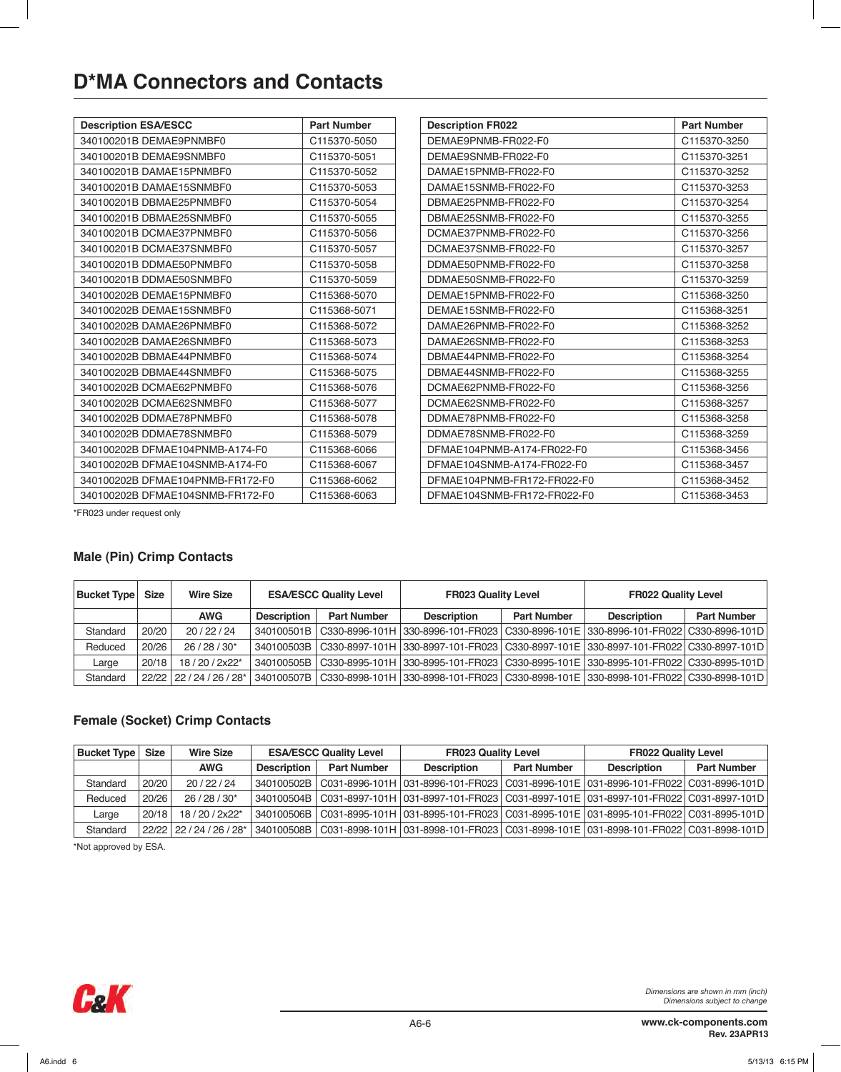# **D\*MA Connectors and Contacts**

| <b>Description ESA/ESCC</b>      | <b>Part Number</b> | <b>Description FR022</b>    | <b>Part Number</b> |
|----------------------------------|--------------------|-----------------------------|--------------------|
| 340100201B DEMAE9PNMBF0          | C115370-5050       | DEMAE9PNMB-FR022-F0         | C115370-325        |
| 340100201B DEMAE9SNMBF0          | C115370-5051       | DEMAE9SNMB-FR022-F0         | C115370-325        |
| 340100201B DAMAE15PNMBF0         | C115370-5052       | DAMAE15PNMB-FR022-F0        | C115370-325        |
| 340100201B DAMAE15SNMBF0         | C115370-5053       | DAMAE15SNMB-FR022-F0        | C115370-325        |
| 340100201B DBMAE25PNMBF0         | C115370-5054       | DBMAE25PNMB-FR022-F0        | C115370-325        |
| 340100201B DBMAE25SNMBF0         | C115370-5055       | DBMAE25SNMB-FR022-F0        | C115370-325        |
| 340100201B DCMAE37PNMBF0         | C115370-5056       | DCMAE37PNMB-FR022-F0        | C115370-325        |
| 340100201B DCMAE37SNMBF0         | C115370-5057       | DCMAE37SNMB-FR022-F0        | C115370-325        |
| 340100201B DDMAE50PNMBF0         | C115370-5058       | DDMAE50PNMB-FR022-F0        | C115370-325        |
| 340100201B DDMAE50SNMBF0         | C115370-5059       | DDMAE50SNMB-FR022-F0        | C115370-325        |
| 340100202B DEMAE15PNMBF0         | C115368-5070       | DEMAE15PNMB-FR022-F0        | C115368-325        |
| 340100202B DEMAE15SNMBF0         | C115368-5071       | DEMAE15SNMB-FR022-F0        | C115368-325        |
| 340100202B DAMAE26PNMBF0         | C115368-5072       | DAMAE26PNMB-FR022-F0        | C115368-325        |
| 340100202B DAMAE26SNMBF0         | C115368-5073       | DAMAE26SNMB-FR022-F0        | C115368-325        |
| 340100202B DBMAE44PNMBF0         | C115368-5074       | DBMAE44PNMB-FR022-F0        | C115368-325        |
| 340100202B DBMAE44SNMBF0         | C115368-5075       | DBMAE44SNMB-FR022-F0        | C115368-325        |
| 340100202B DCMAE62PNMBF0         | C115368-5076       | DCMAE62PNMB-FR022-F0        | C115368-325        |
| 340100202B DCMAE62SNMBF0         | C115368-5077       | DCMAE62SNMB-FR022-F0        | C115368-325        |
| 340100202B DDMAE78PNMBF0         | C115368-5078       | DDMAE78PNMB-FR022-F0        | C115368-325        |
| 340100202B DDMAE78SNMBF0         | C115368-5079       | DDMAE78SNMB-FR022-F0        | C115368-325        |
| 340100202B DFMAE104PNMB-A174-F0  | C115368-6066       | DFMAE104PNMB-A174-FR022-F0  | C115368-345        |
| 340100202B DFMAE104SNMB-A174-F0  | C115368-6067       | DFMAE104SNMB-A174-FR022-F0  | C115368-345        |
| 340100202B DFMAE104PNMB-FR172-F0 | C115368-6062       | DFMAE104PNMB-FR172-FR022-F0 | C115368-345        |
| 340100202B DFMAE104SNMB-FR172-F0 | C115368-6063       | DFMAE104SNMB-FR172-FR022-F0 | C115368-345        |

| <b>Description ESA/ESCC</b>      | <b>Part Number</b> | <b>Description FR022</b>    | <b>Part Number</b> |
|----------------------------------|--------------------|-----------------------------|--------------------|
| 340100201B DEMAE9PNMBF0          | C115370-5050       | DEMAE9PNMB-FR022-F0         | C115370-3250       |
| 340100201B DEMAE9SNMBF0          | C115370-5051       | DEMAE9SNMB-FR022-F0         | C115370-3251       |
| 340100201B DAMAE15PNMBF0         | C115370-5052       | DAMAE15PNMB-FR022-F0        | C115370-3252       |
| 340100201B DAMAE15SNMBF0         | C115370-5053       | DAMAE15SNMB-FR022-F0        | C115370-3253       |
| 340100201B DBMAE25PNMBF0         | C115370-5054       | DBMAE25PNMB-FR022-F0        | C115370-3254       |
| 340100201B DBMAE25SNMBF0         | C115370-5055       | DBMAE25SNMB-FR022-F0        | C115370-3255       |
| 340100201B DCMAE37PNMBF0         | C115370-5056       | DCMAE37PNMB-FR022-F0        | C115370-3256       |
| 340100201B DCMAE37SNMBF0         | C115370-5057       | DCMAE37SNMB-FR022-F0        | C115370-3257       |
| 340100201B DDMAE50PNMBF0         | C115370-5058       | DDMAE50PNMB-FR022-F0        | C115370-3258       |
| 340100201B DDMAE50SNMBF0         | C115370-5059       | DDMAE50SNMB-FR022-F0        | C115370-3259       |
| 340100202B DEMAE15PNMBF0         | C115368-5070       | DEMAE15PNMB-FR022-F0        | C115368-3250       |
| 340100202B DEMAE15SNMBF0         | C115368-5071       | DEMAE15SNMB-FR022-F0        | C115368-3251       |
| 340100202B DAMAE26PNMBF0         | C115368-5072       | DAMAE26PNMB-FR022-F0        | C115368-3252       |
| 340100202B DAMAE26SNMBF0         | C115368-5073       | DAMAE26SNMB-FR022-F0        | C115368-3253       |
| 340100202B DBMAE44PNMBF0         | C115368-5074       | DBMAE44PNMB-FR022-F0        | C115368-3254       |
| 340100202B DBMAE44SNMBF0         | C115368-5075       | DBMAE44SNMB-FR022-F0        | C115368-3255       |
| 340100202B DCMAE62PNMBF0         | C115368-5076       | DCMAE62PNMB-FR022-F0        | C115368-3256       |
| 340100202B DCMAE62SNMBF0         | C115368-5077       | DCMAE62SNMB-FR022-F0        | C115368-3257       |
| 340100202B DDMAE78PNMBF0         | C115368-5078       | DDMAE78PNMB-FR022-F0        | C115368-3258       |
| 340100202B DDMAE78SNMBF0         | C115368-5079       | DDMAE78SNMB-FR022-F0        | C115368-3259       |
| 340100202B DFMAE104PNMB-A174-F0  | C115368-6066       | DFMAE104PNMB-A174-FR022-F0  | C115368-3456       |
| 340100202B DFMAE104SNMB-A174-F0  | C115368-6067       | DFMAE104SNMB-A174-FR022-F0  | C115368-3457       |
| 340100202B DFMAE104PNMB-FR172-F0 | C115368-6062       | DFMAE104PNMB-FR172-FR022-F0 | C115368-3452       |
| 340100202B DFMAE104SNMB-FR172-F0 | C115368-6063       | DFMAE104SNMB-FR172-FR022-F0 | C115368-3453       |

\*FR023 under request only

### **Male (Pin) Crimp Contacts**

| <b>Bucket Type</b> | Size  | <b>Wire Size</b>         | <b>ESA/ESCC Quality Level</b> |                    | <b>FR023 Quality Level</b>                                                         |                    | <b>FR022 Quality Level</b>                       |                    |
|--------------------|-------|--------------------------|-------------------------------|--------------------|------------------------------------------------------------------------------------|--------------------|--------------------------------------------------|--------------------|
|                    |       | <b>AWG</b>               | <b>Description</b>            | <b>Part Number</b> | <b>Description</b>                                                                 | <b>Part Number</b> | <b>Description</b>                               | <b>Part Number</b> |
| Standard           | 20/20 | 20/22/24                 | 340100501B                    |                    | C330-8996-101H 330-8996-101-FR023                                                  |                    | C330-8996-101E 330-8996-101-FR022 C330-8996-101D |                    |
| Reduced            | 20/26 | 26/28/30*                | 340100503B                    |                    | C330-8997-101H 330-8997-101-FR023                                                  |                    | C330-8997-101E 330-8997-101-FR022 C330-8997-101D |                    |
| Large              | 20/18 | 18/20/2x22*              | 340100505B                    |                    | C330-8995-101H 330-8995-101-FR023                                                  |                    | C330-8995-101E 330-8995-101-FR022 C330-8995-101D |                    |
| Standard           |       | 22/22 22 / 24 / 26 / 28* | 340100507B                    |                    | C330-8998-101H 330-8998-101-FR023 C330-8998-101E 330-8998-101-FR022 C330-8998-101D |                    |                                                  |                    |

# **Female (Socket) Crimp Contacts**

| <b>Bucket Type</b> | Size  | <b>Wire Size</b>         |                    | <b>ESA/ESCC Quality Level</b> | <b>FR023 Quality Level</b>                                                         |                    | <b>FR022 Quality Level</b> |                    |  |
|--------------------|-------|--------------------------|--------------------|-------------------------------|------------------------------------------------------------------------------------|--------------------|----------------------------|--------------------|--|
|                    |       | AWG                      | <b>Description</b> | <b>Part Number</b>            | <b>Description</b>                                                                 | <b>Part Number</b> | <b>Description</b>         | <b>Part Number</b> |  |
| Standard           | 20/20 | 20/22/24                 | 340100502B         |                               | C031-8996-101H 031-8996-101-FR023 C031-8996-101E 031-8996-101-FR022 C031-8996-101D |                    |                            |                    |  |
| Reduced            | 20/26 | $26/28/30*$              | 340100504B         |                               | C031-8997-101H 031-8997-101-FR023 C031-8997-101E 031-8997-101-FR022 C031-8997-101D |                    |                            |                    |  |
| Large              | 20/18 | 18/20/2x22*              | 340100506B         |                               | C031-8995-101H 031-8995-101-FR023 C031-8995-101E 031-8995-101-FR022 C031-8995-101D |                    |                            |                    |  |
| Standard           |       | 22/22 22 / 24 / 26 / 28* | 340100508B         |                               | C031-8998-101H 031-8998-101-FR023 C031-8998-101E 031-8998-101-FR022 C031-8998-101D |                    |                            |                    |  |

\*Not approved by ESA.

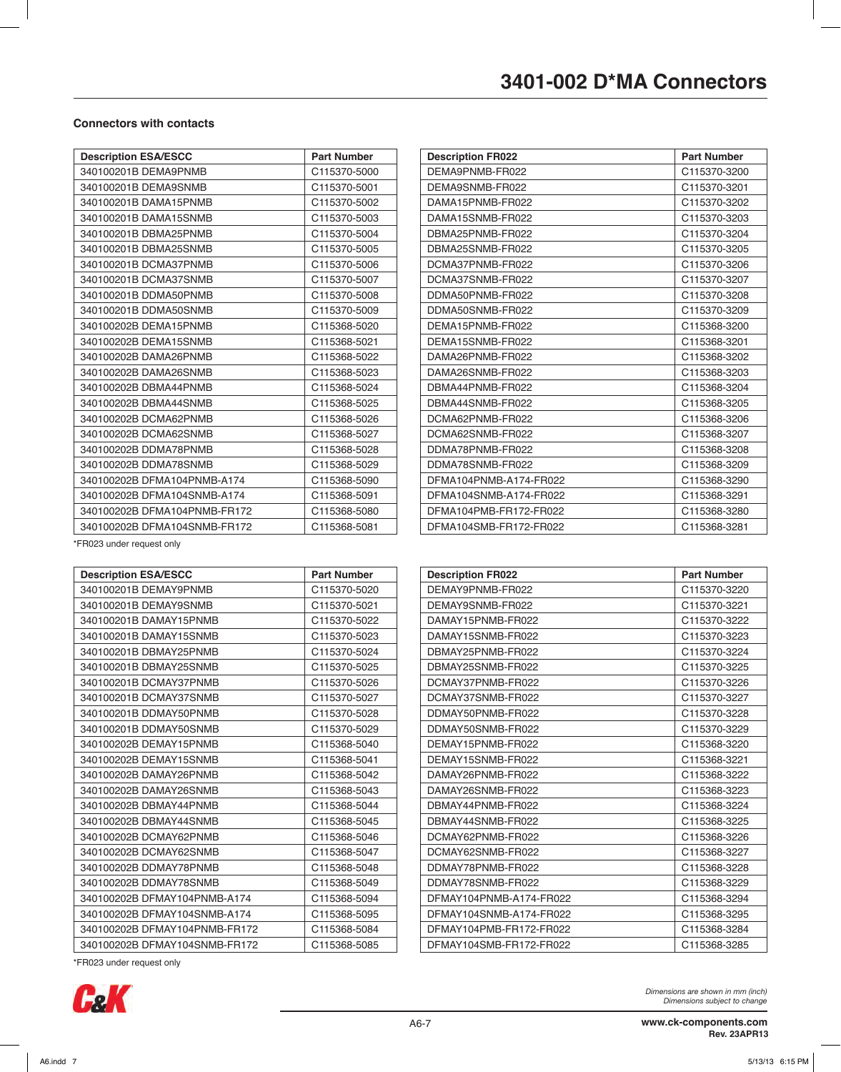#### **Connectors with contacts**

| <b>Description ESA/ESCC</b>  | <b>Part Number</b> |
|------------------------------|--------------------|
| 340100201B DEMA9PNMB         | C115370-5000       |
| 340100201B DEMA9SNMB         | C115370-5001       |
| 340100201B DAMA15PNMB        | C115370-5002       |
| 340100201B DAMA15SNMB        | C115370-5003       |
| 340100201B DBMA25PNMB        | C115370-5004       |
| 340100201B DBMA25SNMB        | C115370-5005       |
| 340100201B DCMA37PNMB        | C115370-5006       |
| 340100201B DCMA37SNMB        | C115370-5007       |
| 340100201B DDMA50PNMB        | C115370-5008       |
| 340100201B DDMA50SNMB        | C115370-5009       |
| 340100202B DEMA15PNMB        | C115368-5020       |
| 340100202B DEMA15SNMB        | C115368-5021       |
| 340100202B DAMA26PNMB        | C115368-5022       |
| 340100202B DAMA26SNMB        | C115368-5023       |
| 340100202B DBMA44PNMB        | C115368-5024       |
| 340100202B DBMA44SNMB        | C115368-5025       |
| 340100202B DCMA62PNMB        | C115368-5026       |
| 340100202B DCMA62SNMB        | C115368-5027       |
| 340100202B DDMA78PNMB        | C115368-5028       |
| 340100202B DDMA78SNMB        | C115368-5029       |
| 340100202B DFMA104PNMB-A174  | C115368-5090       |
| 340100202B DFMA104SNMB-A174  | C115368-5091       |
| 340100202B DFMA104PNMB-FR172 | C115368-5080       |
| 340100202B DFMA104SNMB-FR172 | C115368-5081       |

| <b>Description ESA/ESCC</b>  | <b>Part Number</b> | <b>Description FR022</b> | <b>Part Number</b> |
|------------------------------|--------------------|--------------------------|--------------------|
| 340100201B DEMA9PNMB         | C115370-5000       | DEMA9PNMB-FR022          | C115370-3200       |
| 340100201B DEMA9SNMB         | C115370-5001       | DEMA9SNMB-FR022          | C115370-3201       |
| 340100201B DAMA15PNMB        | C115370-5002       | DAMA15PNMB-FR022         | C115370-3202       |
| 340100201B DAMA15SNMB        | C115370-5003       | DAMA15SNMB-FR022         | C115370-3203       |
| 340100201B DBMA25PNMB        | C115370-5004       | DBMA25PNMB-FR022         | C115370-3204       |
| 340100201B DBMA25SNMB        | C115370-5005       | DBMA25SNMB-FR022         | C115370-3205       |
| 340100201B DCMA37PNMB        | C115370-5006       | DCMA37PNMB-FR022         | C115370-3206       |
| 340100201B DCMA37SNMB        | C115370-5007       | DCMA37SNMB-FR022         | C115370-3207       |
| 340100201B DDMA50PNMB        | C115370-5008       | DDMA50PNMB-FR022         | C115370-3208       |
| 340100201B DDMA50SNMB        | C115370-5009       | DDMA50SNMB-FR022         | C115370-3209       |
| 340100202B DEMA15PNMB        | C115368-5020       | DEMA15PNMB-FR022         | C115368-3200       |
| 340100202B DEMA15SNMB        | C115368-5021       | DEMA15SNMB-FR022         | C115368-3201       |
| 340100202B DAMA26PNMB        | C115368-5022       | DAMA26PNMB-FR022         | C115368-3202       |
| 340100202B DAMA26SNMB        | C115368-5023       | DAMA26SNMB-FR022         | C115368-3203       |
| 340100202B DBMA44PNMB        | C115368-5024       | DBMA44PNMB-FR022         | C115368-3204       |
| 340100202B DBMA44SNMB        | C115368-5025       | DBMA44SNMB-FR022         | C115368-3205       |
| 340100202B DCMA62PNMB        | C115368-5026       | DCMA62PNMB-FR022         | C115368-3206       |
| 340100202B DCMA62SNMB        | C115368-5027       | DCMA62SNMB-FR022         | C115368-3207       |
| 340100202B DDMA78PNMB        | C115368-5028       | DDMA78PNMB-FR022         | C115368-3208       |
| 340100202B DDMA78SNMB        | C115368-5029       | DDMA78SNMB-FR022         | C115368-3209       |
| 340100202B DFMA104PNMB-A174  | C115368-5090       | DFMA104PNMB-A174-FR022   | C115368-3290       |
| 340100202B DFMA104SNMB-A174  | C115368-5091       | DFMA104SNMB-A174-FR022   | C115368-3291       |
| 340100202B DFMA104PNMB-FR172 | C115368-5080       | DFMA104PMB-FR172-FR022   | C115368-3280       |
| 340100202B DFMA104SNMB-FR172 | C115368-5081       | DFMA104SMB-FR172-FR022   | C115368-3281       |

\*FR023 under request only

| <b>Description ESA/ESCC</b>   | <b>Part Number</b> |
|-------------------------------|--------------------|
| 340100201B DEMAY9PNMB         | C115370-5020       |
| 340100201B DEMAY9SNMB         | C115370-5021       |
| 340100201B DAMAY15PNMB        | C115370-5022       |
| 340100201B DAMAY15SNMB        | C115370-5023       |
| 340100201B DBMAY25PNMB        | C115370-5024       |
| 340100201B DBMAY25SNMB        | C115370-5025       |
| 340100201B DCMAY37PNMB        | C115370-5026       |
| 340100201B DCMAY37SNMB        | C115370-5027       |
| 340100201B DDMAY50PNMB        | C115370-5028       |
| 340100201B DDMAY50SNMB        | C115370-5029       |
| 340100202B DEMAY15PNMB        | C115368-5040       |
| 340100202B DEMAY15SNMB        | C115368-5041       |
| 340100202B DAMAY26PNMB        | C115368-5042       |
| 340100202B DAMAY26SNMB        | C115368-5043       |
| 340100202B DBMAY44PNMB        | C115368-5044       |
| 340100202B DBMAY44SNMB        | C115368-5045       |
| 340100202B DCMAY62PNMB        | C115368-5046       |
| 340100202B DCMAY62SNMB        | C115368-5047       |
| 340100202B DDMAY78PNMB        | C115368-5048       |
| 340100202B DDMAY78SNMB        | C115368-5049       |
| 340100202B DFMAY104PNMB-A174  | C115368-5094       |
| 340100202B DFMAY104SNMB-A174  | C115368-5095       |
| 340100202B DFMAY104PNMB-FR172 | C115368-5084       |
| 340100202B DFMAY104SNMB-FR172 | C115368-5085       |

| <b>Description ESA/ESCC</b>   | <b>Part Number</b> | <b>Description FR022</b> | <b>Part Number</b> |
|-------------------------------|--------------------|--------------------------|--------------------|
| 340100201B DEMAY9PNMB         | C115370-5020       | DEMAY9PNMB-FR022         | C115370-3220       |
| 340100201B DEMAY9SNMB         | C115370-5021       | DEMAY9SNMB-FR022         | C115370-3221       |
| 340100201B DAMAY15PNMB        | C115370-5022       | DAMAY15PNMB-FR022        | C115370-3222       |
| 340100201B DAMAY15SNMB        | C115370-5023       | DAMAY15SNMB-FR022        | C115370-3223       |
| 340100201B DBMAY25PNMB        | C115370-5024       | DBMAY25PNMB-FR022        | C115370-3224       |
| 340100201B DBMAY25SNMB        | C115370-5025       | DBMAY25SNMB-FR022        | C115370-3225       |
| 340100201B DCMAY37PNMB        | C115370-5026       | DCMAY37PNMB-FR022        | C115370-3226       |
| 340100201B DCMAY37SNMB        | C115370-5027       | DCMAY37SNMB-FR022        | C115370-3227       |
| 340100201B DDMAY50PNMB        | C115370-5028       | DDMAY50PNMB-FR022        | C115370-3228       |
| 340100201B DDMAY50SNMB        | C115370-5029       | DDMAY50SNMB-FR022        | C115370-3229       |
| 340100202B DEMAY15PNMB        | C115368-5040       | DEMAY15PNMB-FR022        | C115368-3220       |
| 340100202B DEMAY15SNMB        | C115368-5041       | DEMAY15SNMB-FR022        | C115368-3221       |
| 340100202B DAMAY26PNMB        | C115368-5042       | DAMAY26PNMB-FR022        | C115368-3222       |
| 340100202B DAMAY26SNMB        | C115368-5043       | DAMAY26SNMB-FR022        | C115368-3223       |
| 340100202B DBMAY44PNMB        | C115368-5044       | DBMAY44PNMB-FR022        | C115368-3224       |
| 340100202B DBMAY44SNMB        | C115368-5045       | DBMAY44SNMB-FR022        | C115368-3225       |
| 340100202B DCMAY62PNMB        | C115368-5046       | DCMAY62PNMB-FR022        | C115368-3226       |
| 340100202B DCMAY62SNMB        | C115368-5047       | DCMAY62SNMB-FR022        | C115368-3227       |
| 340100202B DDMAY78PNMB        | C115368-5048       | DDMAY78PNMB-FR022        | C115368-3228       |
| 340100202B DDMAY78SNMB        | C115368-5049       | DDMAY78SNMB-FR022        | C115368-3229       |
| 340100202B DFMAY104PNMB-A174  | C115368-5094       | DFMAY104PNMB-A174-FR022  | C115368-3294       |
| 340100202B DFMAY104SNMB-A174  | C115368-5095       | DFMAY104SNMB-A174-FR022  | C115368-3295       |
| 340100202B DFMAY104PNMB-FR172 | C115368-5084       | DFMAY104PMB-FR172-FR022  | C115368-3284       |
| 340100202B DFMAY104SNMB-FR172 | C115368-5085       | DFMAY104SMB-FR172-FR022  | C115368-3285       |

\*FR023 under request only



*Dimensions are shown in mm (inch) Dimensions subject to change*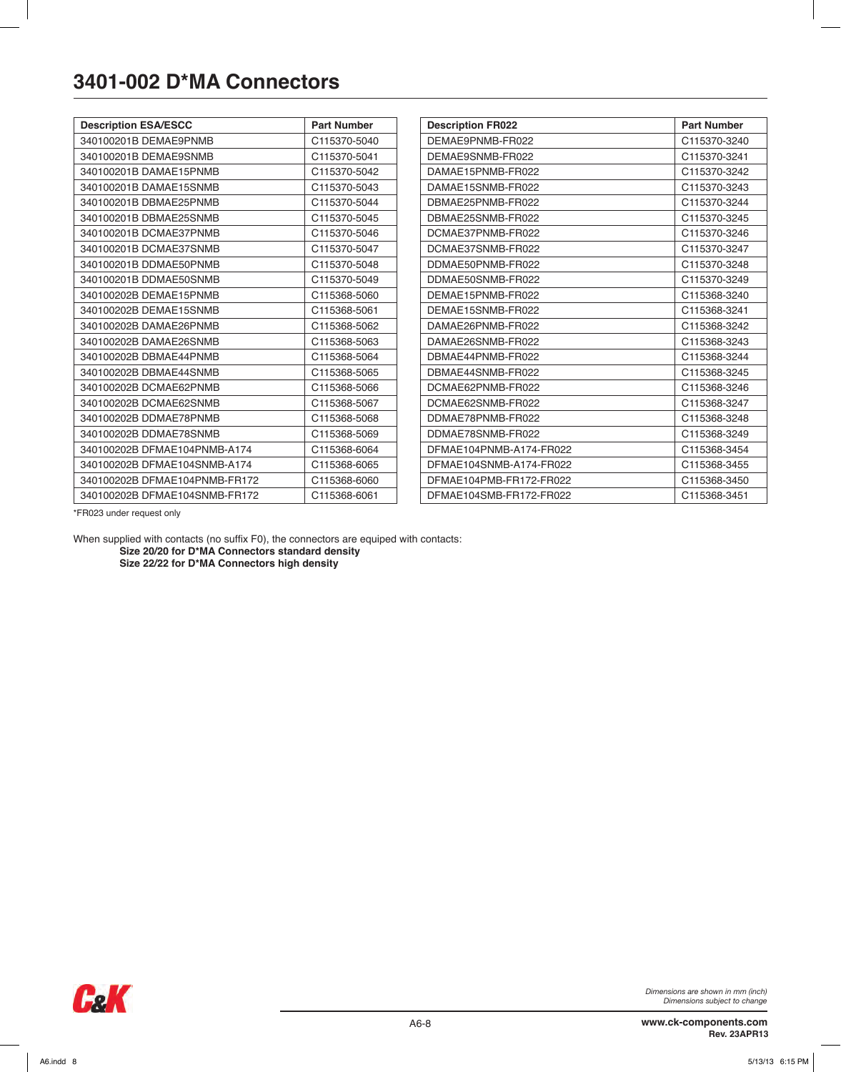# **3401-002 D\*MA Connectors**

| <b>Description ESA/ESCC</b>   | <b>Part Number</b> | <b>Description FR022</b> | <b>Part Number</b> |
|-------------------------------|--------------------|--------------------------|--------------------|
| 340100201B DEMAE9PNMB         | C115370-5040       | DEMAE9PNMB-FR022         | C115370-3240       |
| 340100201B DEMAE9SNMB         | C115370-5041       | DEMAE9SNMB-FR022         | C115370-3241       |
| 340100201B DAMAE15PNMB        | C115370-5042       | DAMAE15PNMB-FR022        | C115370-3242       |
| 340100201B DAMAE15SNMB        | C115370-5043       | DAMAE15SNMB-FR022        | C115370-3243       |
| 340100201B DBMAE25PNMB        | C115370-5044       | DBMAE25PNMB-FR022        | C115370-3244       |
| 340100201B DBMAE25SNMB        | C115370-5045       | DBMAE25SNMB-FR022        | C115370-3245       |
| 340100201B DCMAE37PNMB        | C115370-5046       | DCMAE37PNMB-FR022        | C115370-3246       |
| 340100201B DCMAE37SNMB        | C115370-5047       | DCMAE37SNMB-FR022        | C115370-3247       |
| 340100201B DDMAE50PNMB        | C115370-5048       | DDMAE50PNMB-FR022        | C115370-3248       |
| 340100201B DDMAE50SNMB        | C115370-5049       | DDMAE50SNMB-FR022        | C115370-3249       |
| 340100202B DEMAE15PNMB        | C115368-5060       | DEMAE15PNMB-FR022        | C115368-3240       |
| 340100202B DEMAE15SNMB        | C115368-5061       | DEMAE15SNMB-FR022        | C115368-3241       |
| 340100202B DAMAE26PNMB        | C115368-5062       | DAMAE26PNMB-FR022        | C115368-3242       |
| 340100202B DAMAE26SNMB        | C115368-5063       | DAMAE26SNMB-FR022        | C115368-3243       |
| 340100202B DBMAE44PNMB        | C115368-5064       | DBMAE44PNMB-FR022        | C115368-3244       |
| 340100202B DBMAE44SNMB        | C115368-5065       | DBMAE44SNMB-FR022        | C115368-3245       |
| 340100202B DCMAE62PNMB        | C115368-5066       | DCMAE62PNMB-FR022        | C115368-3246       |
| 340100202B DCMAE62SNMB        | C115368-5067       | DCMAE62SNMB-FR022        | C115368-3247       |
| 340100202B DDMAE78PNMB        | C115368-5068       | DDMAE78PNMB-FR022        | C115368-3248       |
| 340100202B DDMAE78SNMB        | C115368-5069       | DDMAE78SNMB-FR022        | C115368-3249       |
| 340100202B DFMAE104PNMB-A174  | C115368-6064       | DFMAE104PNMB-A174-FR022  | C115368-3454       |
| 340100202B DFMAE104SNMB-A174  | C115368-6065       | DFMAE104SNMB-A174-FR022  | C115368-3455       |
| 340100202B DFMAE104PNMB-FR172 | C115368-6060       | DFMAE104PMB-FR172-FR022  | C115368-3450       |
| 340100202B DFMAE104SNMB-FR172 | C115368-6061       | DFMAE104SMB-FR172-FR022  | C115368-3451       |
|                               |                    |                          |                    |

| <b>Description FR022</b> | <b>Part Number</b> |
|--------------------------|--------------------|
| DEMAE9PNMB-FR022         | C115370-3240       |
| DEMAE9SNMB-FR022         | C115370-3241       |
| DAMAE15PNMB-FR022        | C115370-3242       |
| DAMAE15SNMB-FR022        | C115370-3243       |
| DBMAF25PNMB-FR022        | C115370-3244       |
| DBMAE25SNMB-FR022        | C115370-3245       |
| DCMAE37PNMB-FR022        | C115370-3246       |
| DCMAE37SNMB-FR022        | C115370-3247       |
| DDMAE50PNMB-FR022        | C115370-3248       |
| DDMAE50SNMB-FR022        | C115370-3249       |
| DEMAE15PNMB-FR022        | C115368-3240       |
| DEMAE15SNMB-FR022        | C115368-3241       |
| DAMAE26PNMB-FR022        | C115368-3242       |
| DAMAE26SNMB-FR022        | C115368-3243       |
| DBMAE44PNMB-FR022        | C115368-3244       |
| DBMAE44SNMB-FR022        | C115368-3245       |
| DCMAE62PNMB-FR022        | C115368-3246       |
| DCMAE62SNMB-FR022        | C115368-3247       |
| DDMAE78PNMB-FR022        | C115368-3248       |
| DDMAE78SNMB-FR022        | C115368-3249       |
| DFMAE104PNMB-A174-FR022  | C115368-3454       |
| DFMAE104SNMB-A174-FR022  | C115368-3455       |
| DFMAE104PMB-FR172-FR022  | C115368-3450       |
| DFMAE104SMB-FR172-FR022  | C115368-3451       |

\*FR023 under request only

When supplied with contacts (no suffix F0), the connectors are equiped with contacts:

**Size 20/20 for D\*MA Connectors standard density**

**Size 22/22 for D\*MA Connectors high density**

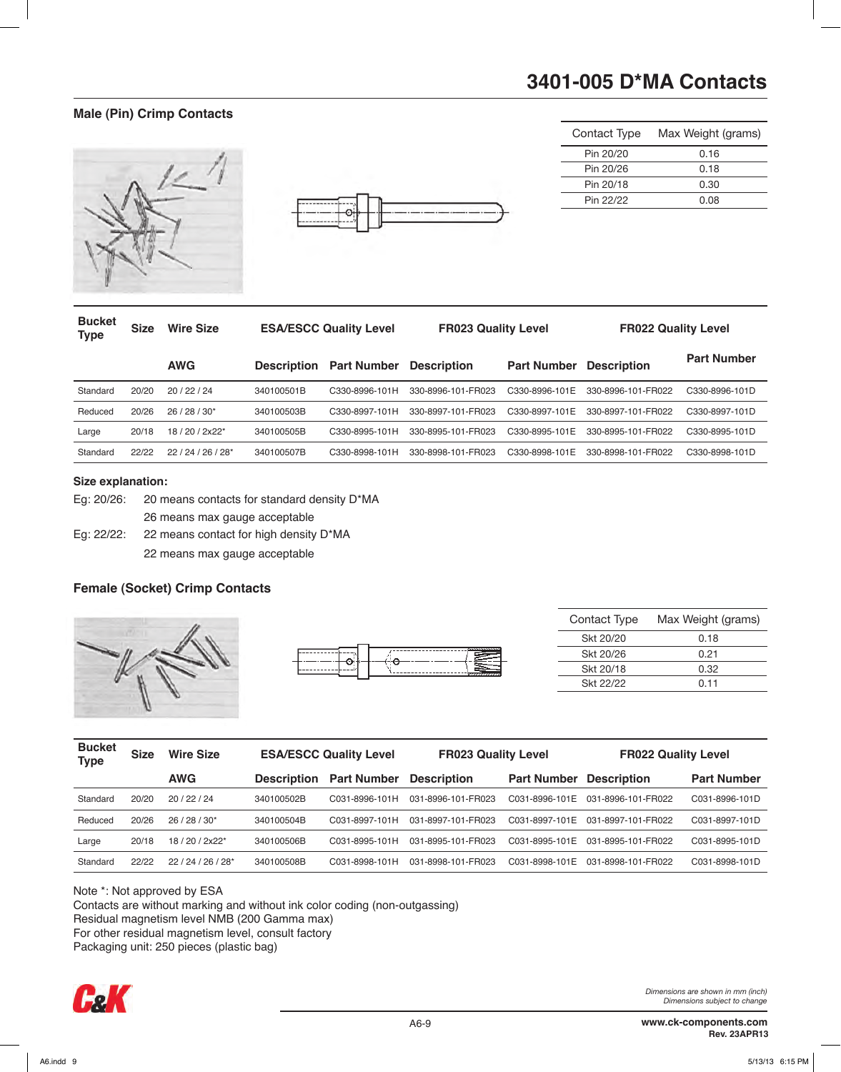# **3401-005 D\*MA Contacts**

### **Male (Pin) Crimp Contacts**





| Contact Type | Max Weight (grams) |
|--------------|--------------------|
| Pin 20/20    | 0.16               |
| Pin 20/26    | 0.18               |
| Pin 20/18    | 0.30               |
| Pin 22/22    | 0.08               |

| <b>Bucket</b><br><b>Type</b> | <b>Size</b> | <b>Wire Size</b> |                    | <b>ESA/ESCC Quality Level</b> | <b>FR023 Quality Level</b> |                    | <b>FR022 Quality Level</b> |                    |  |  |
|------------------------------|-------------|------------------|--------------------|-------------------------------|----------------------------|--------------------|----------------------------|--------------------|--|--|
|                              |             | <b>AWG</b>       | <b>Description</b> | <b>Part Number</b>            | <b>Description</b>         | <b>Part Number</b> | <b>Description</b>         | <b>Part Number</b> |  |  |
| Standard                     | 20/20       | 20/22/24         | 340100501B         | C330-8996-101H                | 330-8996-101-FR023         | C330-8996-101E     | 330-8996-101-FR022         | C330-8996-101D     |  |  |
| Reduced                      | 20/26       | $26/28/30*$      | 340100503B         | C330-8997-101H                | 330-8997-101-FR023         | C330-8997-101E     | 330-8997-101-FR022         | C330-8997-101D     |  |  |
| Large                        | 20/18       | 18/20/2x22*      | 340100505B         | C330-8995-101H                | 330-8995-101-FR023         | C330-8995-101E     | 330-8995-101-FR022         | C330-8995-101D     |  |  |
| Standard                     | 22122       | 22/24/26/28*     | 340100507B         | C330-8998-101H                | 330-8998-101-FR023         | C330-8998-101E     | 330-8998-101-FR022         | C330-8998-101D     |  |  |
|                              |             |                  |                    |                               |                            |                    |                            |                    |  |  |

#### **Size explanation:**

| Eg: 20/26: | 20 means contacts for standard density D*MA             |
|------------|---------------------------------------------------------|
|            | 26 means max gauge acceptable                           |
|            | Eq: $22/22$ : 22 means contact for high density $D^*MA$ |
|            | 22 means max gauge acceptable                           |

### **Female (Socket) Crimp Contacts**



| <b>Bucket</b><br><b>Type</b> | <b>Size</b> | <b>Wire Size</b> |                    | <b>ESA/ESCC Quality Level</b> | <b>FR023 Quality Level</b> |                    | <b>FR022 Quality Level</b> |                    |  |  |
|------------------------------|-------------|------------------|--------------------|-------------------------------|----------------------------|--------------------|----------------------------|--------------------|--|--|
|                              |             | <b>AWG</b>       | <b>Description</b> | <b>Part Number</b>            | <b>Description</b>         | <b>Part Number</b> | <b>Description</b>         | <b>Part Number</b> |  |  |
| Standard                     | 20/20       | 20/22/24         | 340100502B         | C031-8996-101H                | 031-8996-101-FR023         | C031-8996-101E     | 031-8996-101-FR022         | C031-8996-101D     |  |  |
| Reduced                      | 20/26       | $26/28/30*$      | 340100504B         | C031-8997-101H                | 031-8997-101-FR023         | C031-8997-101E     | 031-8997-101-FR022         | C031-8997-101D     |  |  |
| Large                        | 20/18       | 18/20/2x22*      | 340100506B         | C031-8995-101H                | 031-8995-101-FR023         | C031-8995-101E     | 031-8995-101-FR022         | C031-8995-101D     |  |  |
| Standard                     | 22/22       | 22/24/26/28*     | 340100508B         | C031-8998-101H                | 031-8998-101-FR023         | C031-8998-101E     | 031-8998-101-FR022         | C031-8998-101D     |  |  |

Note \*: Not approved by ESA Contacts are without marking and without ink color coding (non-outgassing) Residual magnetism level NMB (200 Gamma max) For other residual magnetism level, consult factory Packaging unit: 250 pieces (plastic bag)



**www.ck-components.com**

**Rev. 23APR13**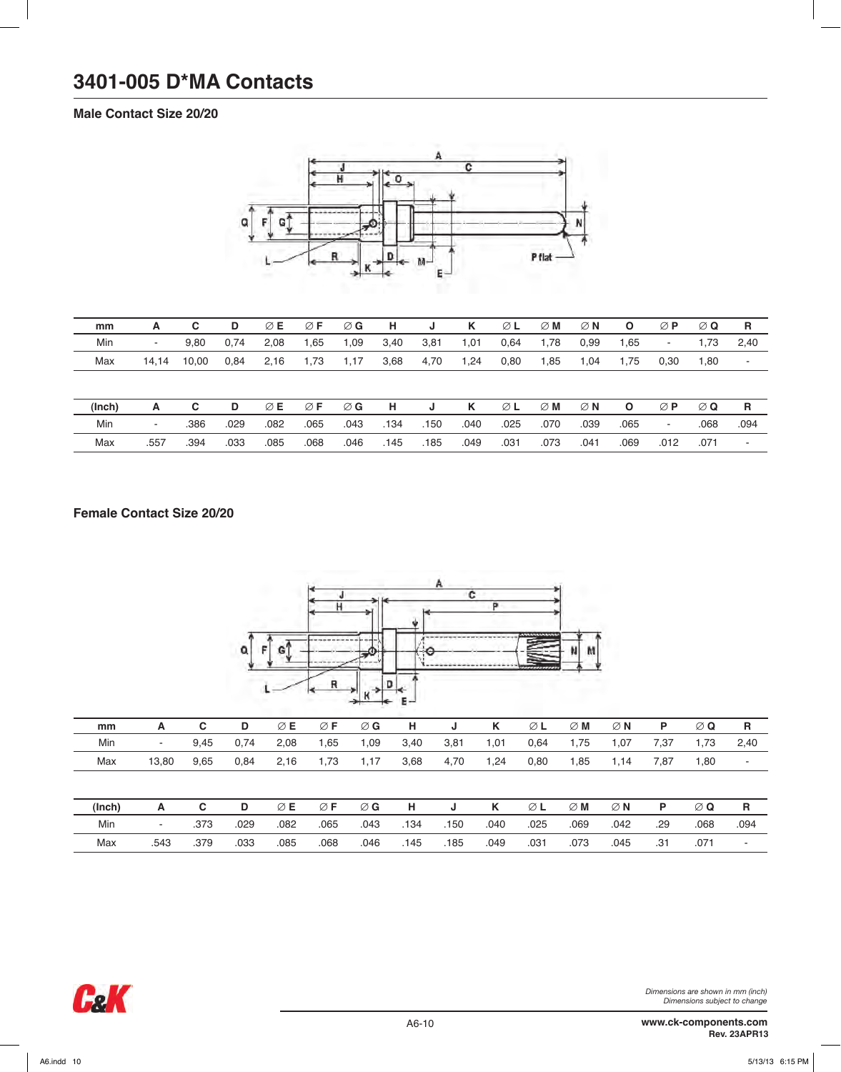# **3401-005 D\*MA Contacts**

### **Male Contact Size 20/20**



| mm  | A           | C.   | D    |      |      |      | ØE ØF ØG HU    | <b>K</b> | ØL   | $\varnothing$ M | $\varnothing$ N | $\overline{\mathbf{O}}$ | ØΡ         | ∅Q   | R                        |
|-----|-------------|------|------|------|------|------|----------------|----------|------|-----------------|-----------------|-------------------------|------------|------|--------------------------|
| Min | $\sim$      | 9,80 | 0,74 | 2,08 | 1,65 | 1,09 | 3,40 3,81      | 1,01     |      | 0,64 1,78       | 0,99            | 1,65                    | $\sim 100$ | 1.73 | 2,40                     |
| Max | 14,14 10,00 |      | 0,84 | 2,16 | 1,73 | 1,17 | 3,68 4,70 1,24 |          | 0,80 | 1,85            | 1,04            | 1,75                    | 0.30       | 1,80 | $\overline{\phantom{a}}$ |
|     |             |      |      |      |      |      |                |          |      |                 |                 |                         |            |      |                          |

| (Inch) |                          |      |     | ØΕ   | ØF   | $\varnothing$ G | н    |      | K.   | $\varnothing$ L | $\varnothing$ M | $\varnothing$ N |      | ⊘ P    | $\varnothing$ Q |      |
|--------|--------------------------|------|-----|------|------|-----------------|------|------|------|-----------------|-----------------|-----------------|------|--------|-----------------|------|
| Min    | $\overline{\phantom{a}}$ | 386  | 029 | .082 | .065 | .043            | .134 | .150 | .040 | .025            | .070            | .039            | .065 | $\sim$ | .068            | .094 |
| Max    | 557                      | .394 | 033 | .085 | .068 | .046            | .145 | 185  | .049 | .031            | .073            | .041            | .069 | .012   | .071            |      |

### **Female Contact Size 20/20**



| mm     | A                        | С    | D    | ØΕ   | ØΕ   | $\varnothing$ G | н    | J    | Κ    | ØL   | $\varnothing$ M | $\varnothing$ N | P.   | $\varnothing$ Q | R                        |
|--------|--------------------------|------|------|------|------|-----------------|------|------|------|------|-----------------|-----------------|------|-----------------|--------------------------|
| Min    | $\sim$                   | 9,45 | 0,74 | 2,08 | 1,65 | 1,09            | 3,40 | 3,81 | 1,01 | 0,64 | 1,75            | 1,07            | 7,37 | 1,73            | 2,40                     |
| Max    | 13,80                    | 9,65 | 0,84 | 2,16 | 1,73 | 1,17            | 3,68 | 4,70 | 1,24 | 0,80 | 1,85            | 1,14            | 7,87 | 1,80            | $\overline{\phantom{a}}$ |
|        |                          |      |      |      |      |                 |      |      |      |      |                 |                 |      |                 |                          |
| (Inch) | A                        | С    | D    | ØΕ   | ØΕ   | $\varnothing$ G | н    | J    | к    | ØΓ   | $\varnothing$ M | $\varnothing$ N | P    | ∅Q              | R                        |
| Min    | $\overline{\phantom{a}}$ | .373 | .029 | .082 | .065 | .043            | .134 | .150 | .040 | .025 | .069            | .042            | .29  | .068            | .094                     |
| Max    | .543                     | .379 | .033 | .085 | .068 | .046            | .145 | .185 | .049 | .031 | .073            | .045            | .31  | .071            | $\sim$                   |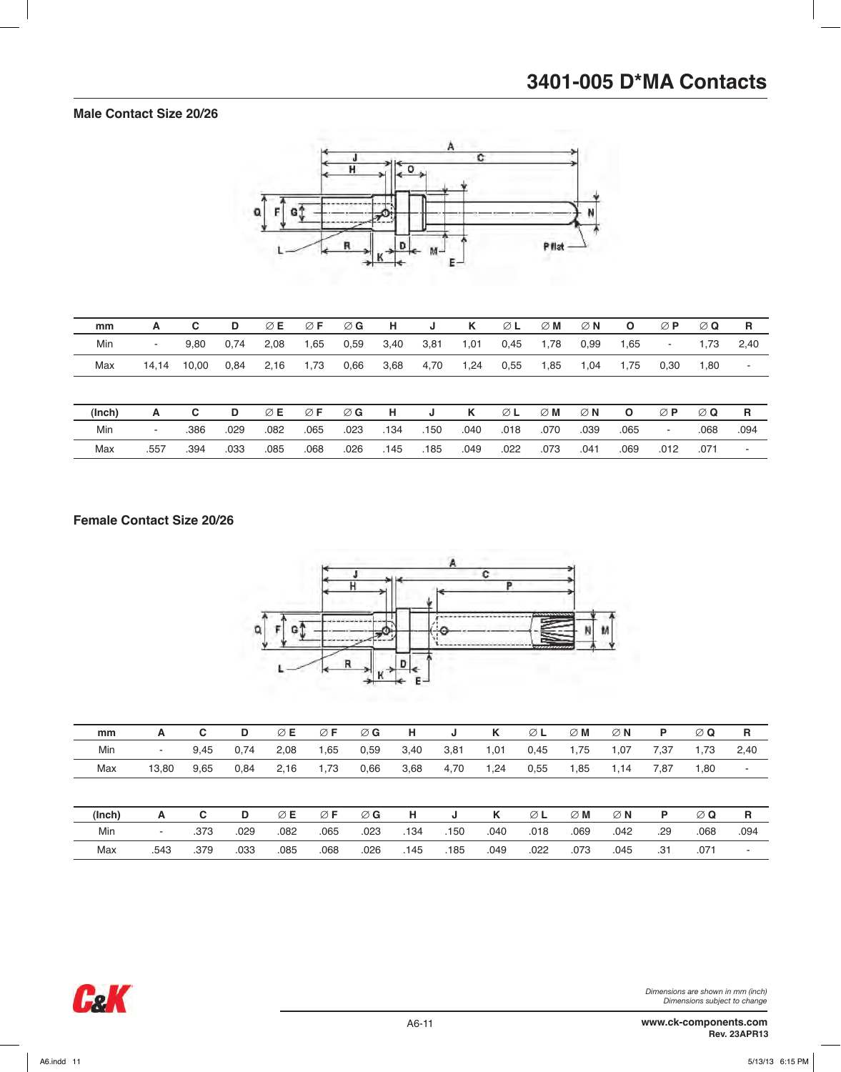### **Male Contact Size 20/26**



| mm     | A                        | C     | D    | ØΕ   | ØΕ   | $\varnothing$ G | н    | J    | K    | ØL   | $\varnothing$ M | $\varnothing$ N | $\mathbf{o}$ | ØΡ              | $\varnothing$ Q | R                        |
|--------|--------------------------|-------|------|------|------|-----------------|------|------|------|------|-----------------|-----------------|--------------|-----------------|-----------------|--------------------------|
| Min    | $\overline{\phantom{a}}$ | 9.80  | 0.74 | 2,08 | 1,65 | 0,59            | 3,40 | 3,81 | 1,01 | 0,45 | 1,78            | 0,99            | 1,65         | $\blacksquare$  | 1,73            | 2,40                     |
| Max    | 14.14                    | 10.00 | 0,84 | 2,16 | 1,73 | 0,66            | 3,68 | 4,70 | 1,24 | 0,55 | 1,85            | 1,04            | 1,75         | 0,30            | 1,80            | $\overline{\phantom{a}}$ |
|        |                          |       |      |      |      |                 |      |      |      |      |                 |                 |              |                 |                 |                          |
| (Inch) | A                        | C     | D    | ØΕ   | ØΕ   | $\varnothing$ G | н    | J    | K    | ØL   | $\varnothing$ M | $\varnothing$ N | $\mathbf{o}$ | $\varnothing$ P | $\varnothing$ Q | R                        |
| Min    | $\overline{\phantom{a}}$ | .386  | .029 | .082 | .065 | .023            | .134 | .150 | .040 | .018 | .070            | .039            | .065         | ۰               | .068            | .094                     |
| Max    | .557                     | .394  | .033 | .085 | .068 | .026            | .145 | .185 | .049 | .022 | .073            | .041            | .069         | .012            | .071            | $\sim$                   |

### **Female Contact Size 20/26**



| mm     | А                        | C    | D    | ØΕ   | ØΕ   | $\varnothing$ G | н    | J    | К    | ØL              | $\varnothing$ M | $\varnothing$ N | P    | $\varnothing$ Q | R                        |
|--------|--------------------------|------|------|------|------|-----------------|------|------|------|-----------------|-----------------|-----------------|------|-----------------|--------------------------|
| Min    | $\sim$                   | 9,45 | 0,74 | 2,08 | 1,65 | 0,59            | 3,40 | 3,81 | 1,01 | 0,45            | 1,75            | 1,07            | 7,37 | 1,73            | 2,40                     |
| Max    | 13,80                    | 9,65 | 0,84 | 2,16 | 1,73 | 0,66            | 3,68 | 4,70 | 1,24 | 0,55            | 1,85            | 1,14            | 7,87 | 1,80            | $\overline{\phantom{a}}$ |
|        |                          |      |      |      |      |                 |      |      |      |                 |                 |                 |      |                 |                          |
| (Inch) | A                        | C    | D    | ØΕ   | ØF   | $\varnothing$ G | н    |      | κ    | $\varnothing$ L | $\varnothing$ M | $\varnothing$ N | P    | $\varnothing$ Q | R                        |
| Min    | $\overline{\phantom{a}}$ | .373 | .029 | .082 | .065 | .023            | .134 | .150 | .040 | .018            | .069            | .042            | .29  | .068            | .094                     |
| Max    | .543                     | .379 | .033 | .085 | .068 | .026            | .145 | .185 | .049 | .022            | .073            | .045            | .31  | .071            | $\blacksquare$           |

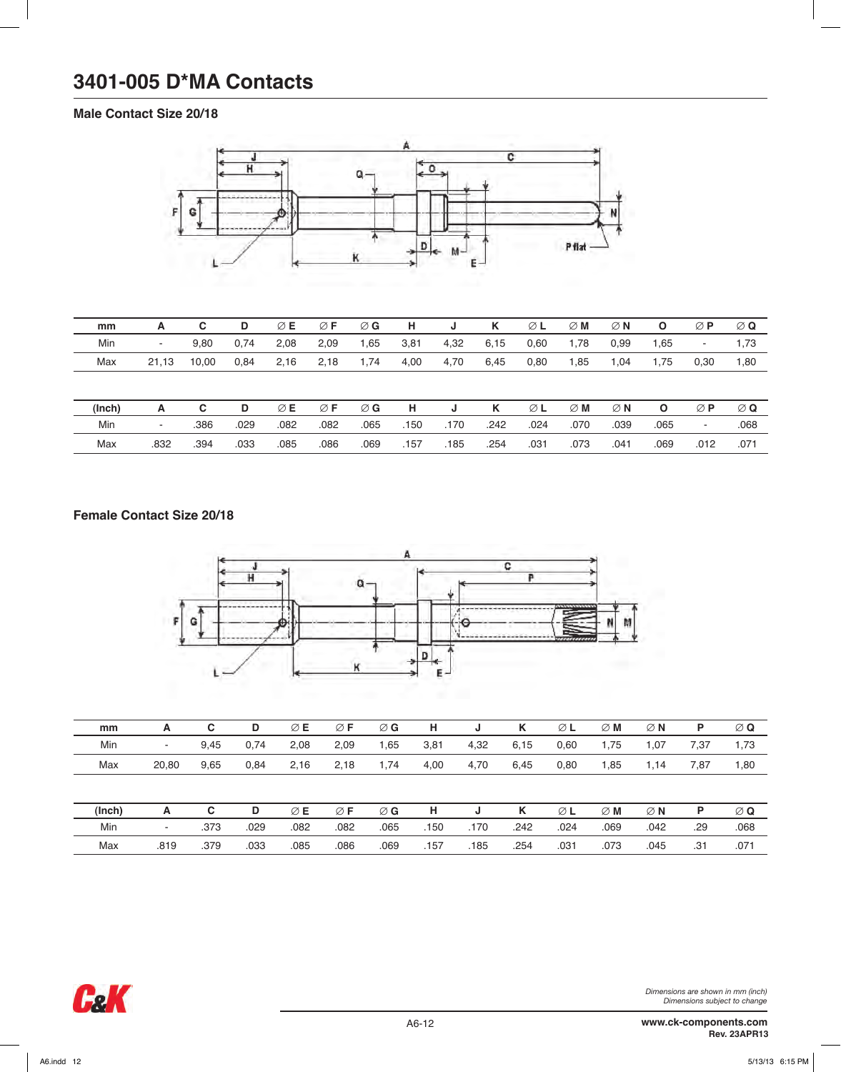# **3401-005 D\*MA Contacts**

### **Male Contact Size 20/18**



| mm     | A                        | С     | D    | ØΕ   | ØF   | $\varnothing$ G | н    | J    | Κ    | $\varnothing$ L | $\varnothing$ M | $\varnothing$ N | $\mathbf{o}$ | $\varnothing$ P | $\varnothing$ Q |
|--------|--------------------------|-------|------|------|------|-----------------|------|------|------|-----------------|-----------------|-----------------|--------------|-----------------|-----------------|
| Min    | $\overline{\phantom{a}}$ | 9,80  | 0,74 | 2,08 | 2,09 | I,65            | 3,81 | 4,32 | 6,15 | 0,60            | 1,78            | 0,99            | 1,65         | ٠               | 1,73            |
| Max    | 21,13                    | 10.00 | 0,84 | 2,16 | 2,18 | 1,74            | 4,00 | 4,70 | 6,45 | 0,80            | 1,85            | 1,04            | 1,75         | 0,30            | 1,80            |
|        |                          |       |      |      |      |                 |      |      |      |                 |                 |                 |              |                 |                 |
| (Inch) | A                        | C     | D    | ØΕ   | ØΕ   | $\varnothing$ G | н    | J    | Κ    | $\varnothing$ L | $\varnothing$ M | $\varnothing$ N | $\mathbf{o}$ | ∅P              | $\varnothing$ Q |
| Min    | $\sim$                   | .386  | .029 | .082 | .082 | .065            | .150 | .170 | .242 | .024            | .070            | .039            | .065         | ۰.              | .068            |
| Max    | .832                     | .394  | .033 | .085 | .086 | .069            | .157 | .185 | .254 | .031            | .073            | .041            | .069         | .012            | .071            |
|        |                          |       |      |      |      |                 |      |      |      |                 |                 |                 |              |                 |                 |

### **Female Contact Size 20/18**



| mm     | А     | C    | D    | ØΕ   | ØF   | $\varnothing$ G | н    | J    | К    | ØL              | $\varnothing$ M | $\varnothing$ N | P    | $\varnothing$ Q |
|--------|-------|------|------|------|------|-----------------|------|------|------|-----------------|-----------------|-----------------|------|-----------------|
| Min    | ٠     | 9,45 | 0,74 | 2,08 | 2,09 | 1,65            | 3,81 | 4,32 | 6,15 | 0,60            | 1,75            | 1,07            | 7,37 | 1,73            |
| Max    | 20,80 | 9,65 | 0,84 | 2,16 | 2,18 | 1,74            | 4,00 | 4,70 | 6,45 | 0,80            | 1,85            | 1,14            | 7,87 | 1,80            |
|        |       |      |      |      |      |                 |      |      |      |                 |                 |                 |      |                 |
| (Inch) | A     | C    | D    | ØΕ   | ØF   | ∅ G             | н    | J    | Κ    | $\varnothing$ L | $\varnothing$ M | $\varnothing$ N | P    | $\varnothing$ Q |
| Min    | ٠     | .373 | .029 | .082 | .082 | .065            | .150 | .170 | .242 | .024            | .069            | .042            | .29  | .068            |
| Max    | .819  | .379 | .033 | .085 | .086 | .069            | .157 | .185 | .254 | .031            | .073            | .045            | .31  | .071            |

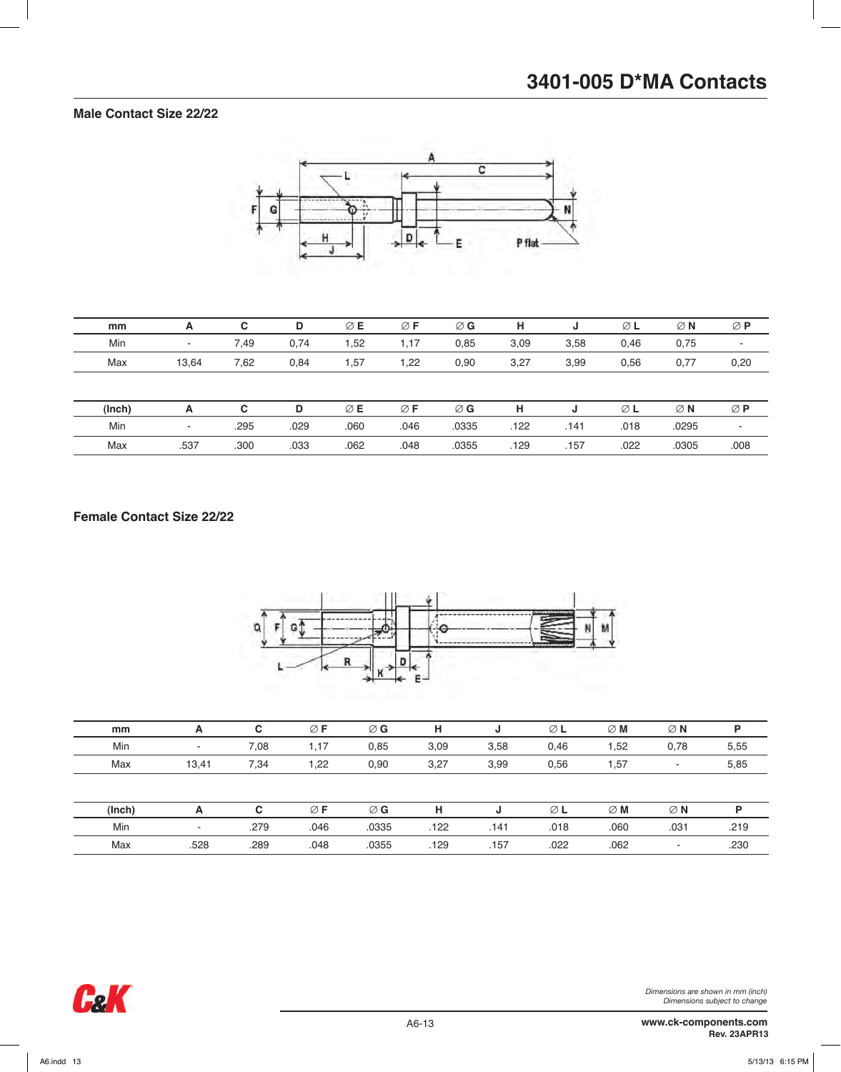# **Male Contact Size 22/22**



| mm     | A                        | C    | D    | ØΕ   | ØΕ   | $\varnothing$ G | н    | J    | ØL   | $\varnothing$ N | ∅P                       |
|--------|--------------------------|------|------|------|------|-----------------|------|------|------|-----------------|--------------------------|
| Min    | $\sim$                   | 7,49 | 0,74 | 1,52 | 1,17 | 0,85            | 3,09 | 3,58 | 0,46 | 0,75            | $\overline{\phantom{a}}$ |
| Max    | 13,64                    | 7,62 | 0,84 | 1,57 | 1,22 | 0,90            | 3,27 | 3,99 | 0,56 | 0,77            | 0,20                     |
|        |                          |      |      |      |      |                 |      |      |      |                 |                          |
| (Inch) | A                        | C    | D    | ØΕ   | ØΕ   | $\varnothing$ G | н    | J    | ØL   | $\varnothing$ N | ∅P                       |
| Min    | $\overline{\phantom{a}}$ | .295 | .029 | .060 | .046 | .0335           | .122 | .141 | .018 | .0295           | $\overline{\phantom{a}}$ |
| Max    | .537                     | .300 | .033 | .062 | .048 | .0355           | .129 | .157 | .022 | .0305           | .008                     |
|        |                          |      |      |      |      |                 |      |      |      |                 |                          |

### **Female Contact Size 22/22**



| mm     | А                        | С    | ØF   | $\varnothing$ G | н    |      | $\varnothing$ L | $\varnothing$ M | $\varnothing$ N          | P    |
|--------|--------------------------|------|------|-----------------|------|------|-----------------|-----------------|--------------------------|------|
| Min    | $\sim$                   | 7,08 | 1,17 | 0,85            | 3,09 | 3,58 | 0,46            | 1,52            | 0,78                     | 5,55 |
| Max    | 13,41                    | 7,34 | 1,22 | 0,90            | 3,27 | 3,99 | 0,56            | 1,57            | $\overline{\phantom{a}}$ | 5,85 |
|        |                          |      |      |                 |      |      |                 |                 |                          |      |
| (Inch) | A                        | C    | ØF   | $\varnothing$ G | н    |      | $\varnothing$ L | $\varnothing$ M | $\varnothing$ N          | P    |
| Min    | $\overline{\phantom{a}}$ | .279 | .046 | .0335           | .122 | .141 | .018            | .060            | .031                     | .219 |
| Max    | .528                     | .289 | .048 | .0355           | .129 | .157 | .022            | .062            | ۰                        | .230 |

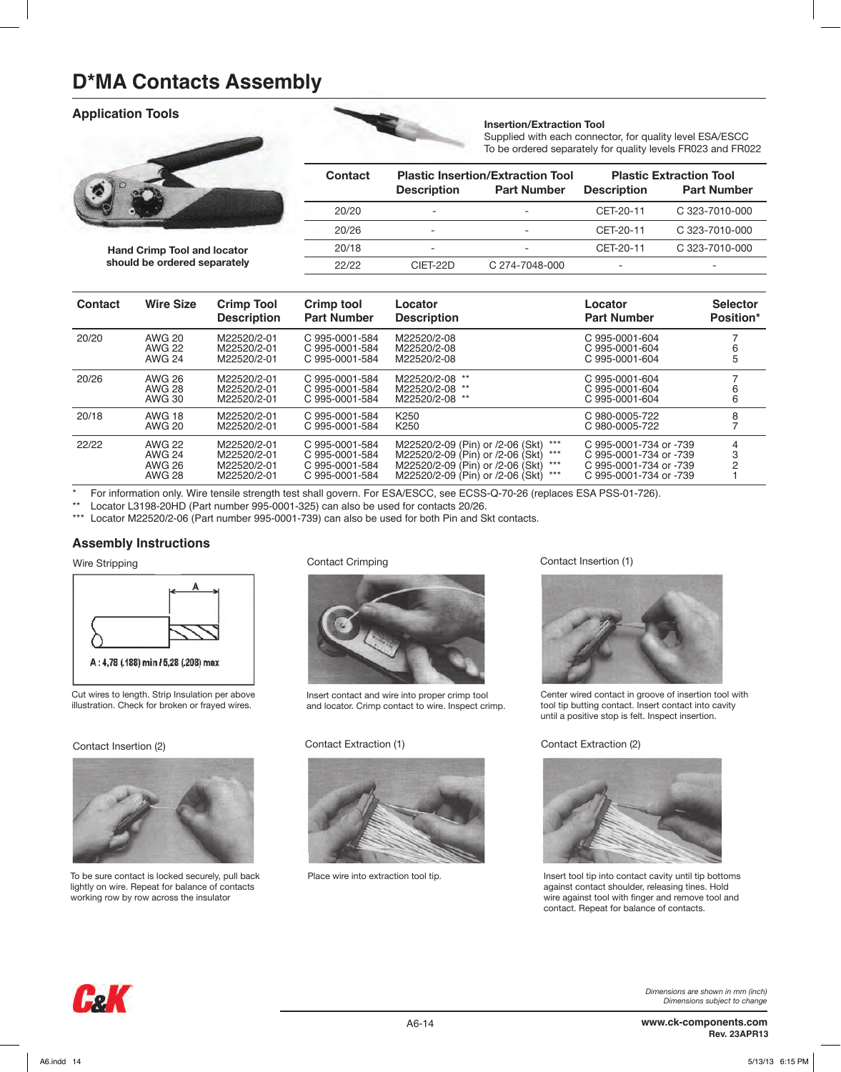# **D\*MA Contacts Assembly**

#### **Application Tools**



Hand Crimp Tool and locator should be ordered separately



#### Insertion/Extraction Tool

Supplied with each connector, for quality level ESA/ESCC To be ordered separately for quality levels FR023 and FR022

| Contact | <b>Description</b>       | <b>Plastic Insertion/Extraction Tool</b><br><b>Part Number</b> | <b>Description</b> | <b>Plastic Extraction Tool</b><br><b>Part Number</b> |
|---------|--------------------------|----------------------------------------------------------------|--------------------|------------------------------------------------------|
| 20/20   | -                        |                                                                | CFT-20-11          | C 323-7010-000                                       |
| 20/26   | $\qquad \qquad$          |                                                                | CFT-20-11          | C 323-7010-000                                       |
| 20/18   | $\overline{\phantom{a}}$ |                                                                | CFT-20-11          | C 323-7010-000                                       |
| 22/22   | CIFT-22D                 | C 274-7048-000                                                 | -                  | ۰                                                    |

| Contact | <b>Wire Size</b>                                                 | <b>Crimp Tool</b><br><b>Description</b>                  | Crimp tool<br><b>Part Number</b>                                     | Locator<br><b>Description</b>                                                                                                                                                    | Locator<br><b>Part Number</b>                                                                        | <b>Selector</b><br>Position* |
|---------|------------------------------------------------------------------|----------------------------------------------------------|----------------------------------------------------------------------|----------------------------------------------------------------------------------------------------------------------------------------------------------------------------------|------------------------------------------------------------------------------------------------------|------------------------------|
| 20/20   | <b>AWG 20</b><br><b>AWG 22</b><br><b>AWG 24</b>                  | M22520/2-01<br>M22520/2-01<br>M22520/2-01                | C 995-0001-584<br>C 995-0001-584<br>C 995-0001-584                   | M22520/2-08<br>M22520/2-08<br>M22520/2-08                                                                                                                                        | C 995-0001-604<br>C 995-0001-604<br>C 995-0001-604                                                   | 6<br>5                       |
| 20/26   | <b>AWG 26</b><br><b>AWG 28</b><br>AWG 30                         | M22520/2-01<br>M22520/2-01<br>M22520/2-01                | C 995-0001-584<br>C 995-0001-584<br>C 995-0001-584                   | M22520/2-08 **<br>M22520/2-08 **<br>M22520/2-08 **                                                                                                                               | C 995-0001-604<br>C 995-0001-604<br>C 995-0001-604                                                   | 6<br>6                       |
| 20/18   | <b>AWG 18</b><br><b>AWG 20</b>                                   | M22520/2-01<br>M22520/2-01                               | C 995-0001-584<br>C 995-0001-584                                     | K <sub>250</sub><br>K <sub>250</sub>                                                                                                                                             | C 980-0005-722<br>C 980-0005-722                                                                     | 8                            |
| 22/22   | <b>AWG 22</b><br><b>AWG 24</b><br><b>AWG 26</b><br><b>AWG 28</b> | M22520/2-01<br>M22520/2-01<br>M22520/2-01<br>M22520/2-01 | C 995-0001-584<br>C 995-0001-584<br>C 995-0001-584<br>C 995-0001-584 | $***$<br>M22520/2-09 (Pin) or /2-06 (Skt)<br>M22520/2-09 (Pin) or /2-06 (Skt)<br>$***$<br>M22520/2-09 (Pin) or /2-06 (Skt)<br>$***$<br>M22520/2-09 (Pin) or /2-06 (Skt)<br>$***$ | C 995-0001-734 or -739<br>C 995-0001-734 or -739<br>C 995-0001-734 or -739<br>C 995-0001-734 or -739 |                              |

\* For information only. Wire tensile strength test shall govern. For ESA/ESCC, see ECSS-Q-70-26 (replaces ESA PSS-01-726).<br>\*\* Locator L3108, 20HD (Bert number 005, 0001, 325) can also be used for contects 20/26.

Locator L3198-20HD (Part number 995-0001-325) can also be used for contacts 20/26.

\*\*\* Locator M22520/2-06 (Part number 995-0001-739) can also be used for both Pin and Skt contacts.

#### **Assembly Instructions**



Cut wires to length. Strip Insulation per above illustration. Check for broken or frayed wires.



To be sure contact is locked securely, pull back lightly on wire. Repeat for balance of contacts working row by row across the insulator



Insert contact and wire into proper crimp tool and locator. Crimp contact to wire. Inspect crimp.

Contact Insertion (2) Contact Extraction (1) Contact Extraction (2) Contact Extraction (2)



Wire Stripping **Contact Crimping** Contact Crimping Contact Insertion (1)



Center wired contact in groove of insertion tool with tool tip butting contact. Insert contact into cavity until a positive stop is felt. Inspect insertion.



Place wire into extraction tool tip. **Insert tool tip into contact cavity until tip bottoms** against contact shoulder, releasing tines. Hold wire against tool with finger and remove tool and contact. Repeat for balance of contacts.

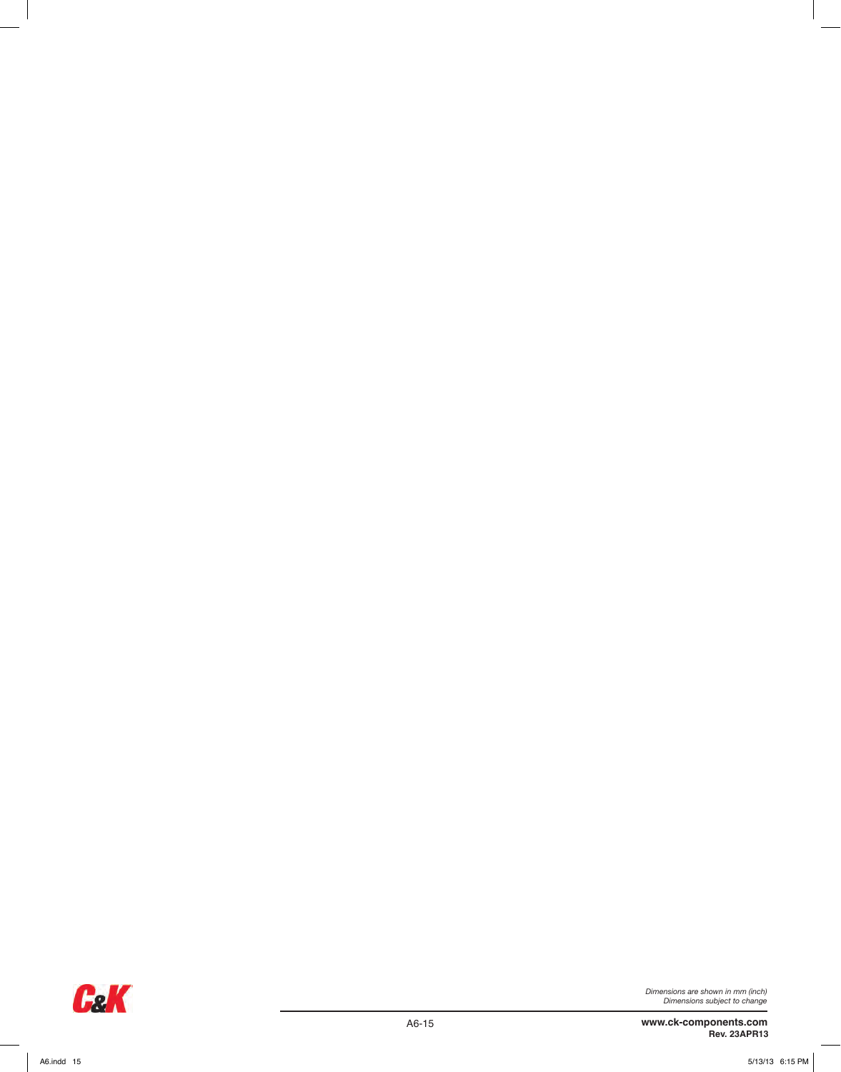